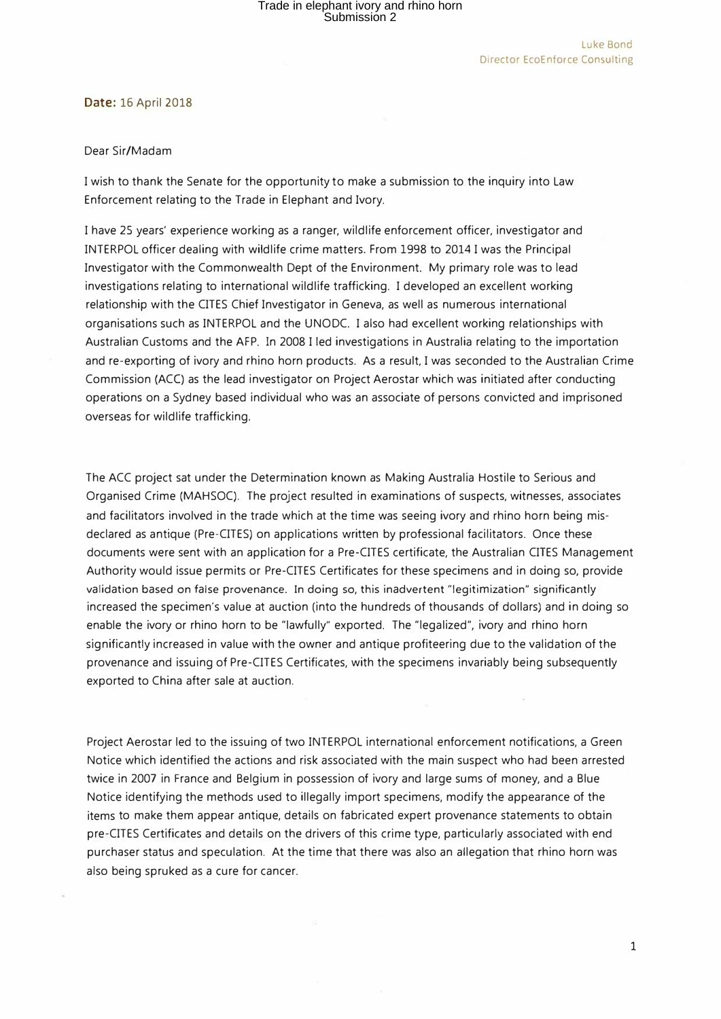#### **Date:** 16 April 2018

#### Dear Sir/Madam

I wish to thank the Senate for the opportunity to make a submission to the inquiry into Law Enforcement relating to the Trade in Elephant and Ivory.

I have 25 years' experience working as a ranger, wildlife enforcement officer, investigator and INTERPOL officer dealing with wildlife crime matters. From 1998 to 2014 I was the Principal Investigator with the Commonwealth Dept of the Environment. My primary role was to lead investigations relating to international wildlife trafficking. I developed an excellent working relationship with the CITES Chief Investigator in Geneva, as well as numerous international organisations such as INTERPOL and the UNODC. I also had excellent working relationships with Australian Customs and the AFP. In 2008 I led investigations in Australia relating to the importation and re-exporting of ivory and rhino horn products. As a result, I was seconded to the Australian Crime Commission (ACC) as the lead investigator on Project Aerostar which was initiated after conducting operations on a Sydney based individual who was an associate of persons convicted and imprisoned overseas for wildlife trafficking.

The ACC project sat under the Determination known as Making Australia Hostile to Serious and Organised Crime (MAHSOC). The project resulted in examinations of suspects, witnesses, associates and facilitators involved in the trade which at the time was seeing ivory and rhino horn being misdeclared as antique (Pre-CITES) on applications written by professional facilitators. Once these documents were sent with an application for a Pre-CITES certificate, the Australian CITES Management Authority would issue permits or Pre-CITES Certificates for these specimens and in doing so, provide validation based on false provenance. In doing so, this inadvertent "legitimization" significantly increased the specimen's value at auction (into the hundreds of thousands of dollars) and in doing so enable the ivory or rhino horn to be "lawfully" exported. The "legalized", ivory and rhino horn significantly increased in value with the owner and antique profiteering due to the validation of the provenance and issuing of Pre-CITES Certificates, with the specimens invariably being subsequently exported to China after sale at auction.

Project Aerostar led to the issuing of two INTERPOL international enforcement notifications, a Green Notice which identified the actions and risk associated with the main suspect who had been arrested twice in 2007 in France and Belgium in possession of ivory and large sums of money, and a Blue Notice identifying the methods used to illegally import specimens, modify the appearance of the items to make them appear antique, details on fabricated expert provenance statements to obtain pre-CITES Certificates and details on the drivers of this crime type, particularly associated with end purchaser status and speculation. At the time that there was also an allegation that rhino horn was also being spruked as a cure for cancer.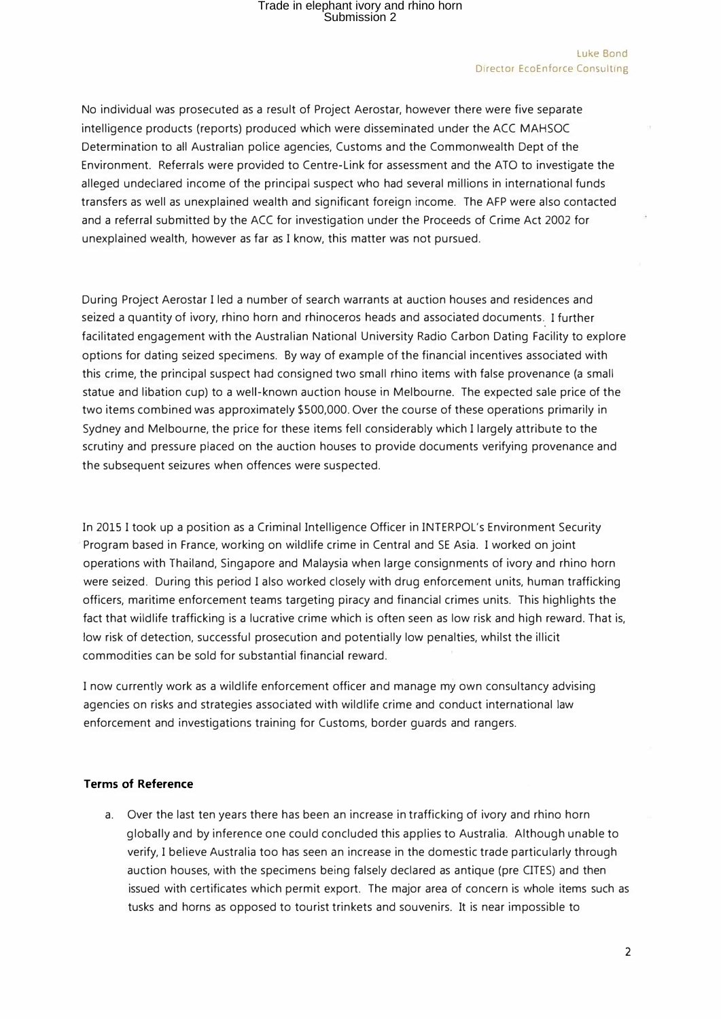#### Luke Bond Director EcoEnforce Consulting

No individual was prosecuted as a result of Project Aerostar, however there were five separate intelligence products (reports) produced which were disseminated under the ACC MAHSOC Determination to all Australian police agencies, Customs and the Commonwealth Dept of the Environment. Referrals were provided to Centre-Link for assessment and the ATO to investigate the alleged undeclared income of the principal suspect who had several millions in international funds transfers as well as unexplained wealth and significant foreign income. The AFP were also contacted and a referral submitted by the ACC for investigation under the Proceeds of Crime Act 2002 for unexplained wealth, however as far as I know, this matter was not pursued.

During Project Aerostar I led a number of search warrants at auction houses and residences and seized a quantity of ivory, rhino horn and rhinoceros heads and associated documents. I further facilitated engagement with the Australian National University Radio Carbon Dating Facility to explore options for dating seized specimens. By way of example of the financial incentives associated with this crime, the principal suspect had consigned two small rhino items with false provenance (a small statue and libation cup) to a well-known auction house in Melbourne. The expected sale price of the two items combined was approximately \$500,000. Over the course of these operations primarily in Sydney and Melbourne, the price for these items fell considerably which I largely attribute to the scrutiny and pressure placed on the auction houses to provide documents verifying provenance and the subsequent seizures when offences were suspected.

In 2015 I took up a position as a Criminal Intelligence Officer in INTERPOL's Environment Security Program based in France, working on wildlife crime in Central and SE Asia. I worked on joint operations with Thailand, Singapore and Malaysia when large consignments of ivory and rhino horn were seized. During this period I also worked closely with drug enforcement units, human trafficking officers, maritime enforcement teams targeting piracy and financial crimes units. This highlights the fact that wildlife trafficking is a lucrative crime which is often seen as low risk and high reward. That is, low risk of detection, successful prosecution and potentially low penalties, whilst the illicit commodities can be sold for substantial financial reward.

I now currently work as a wildlife enforcement officer and manage my own consultancy advising agencies on risks and strategies associated with wildlife crime and conduct international law enforcement and investigations training for Customs, border guards and rangers.

### **Terms of Reference**

a. Over the last ten years there has been an increase in trafficking of ivory and rhino horn globally and by inference one could concluded this applies to Australia. Although unable to verify, I believe Australia too has seen an increase in the domestic trade particularly through auction houses, with the specimens being falsely declared as antique (pre CITES) and then issued with certificates which permit export. The major area of concern is whole items such as tusks and horns as opposed to tourist trinkets and souvenirs. It is near impossible to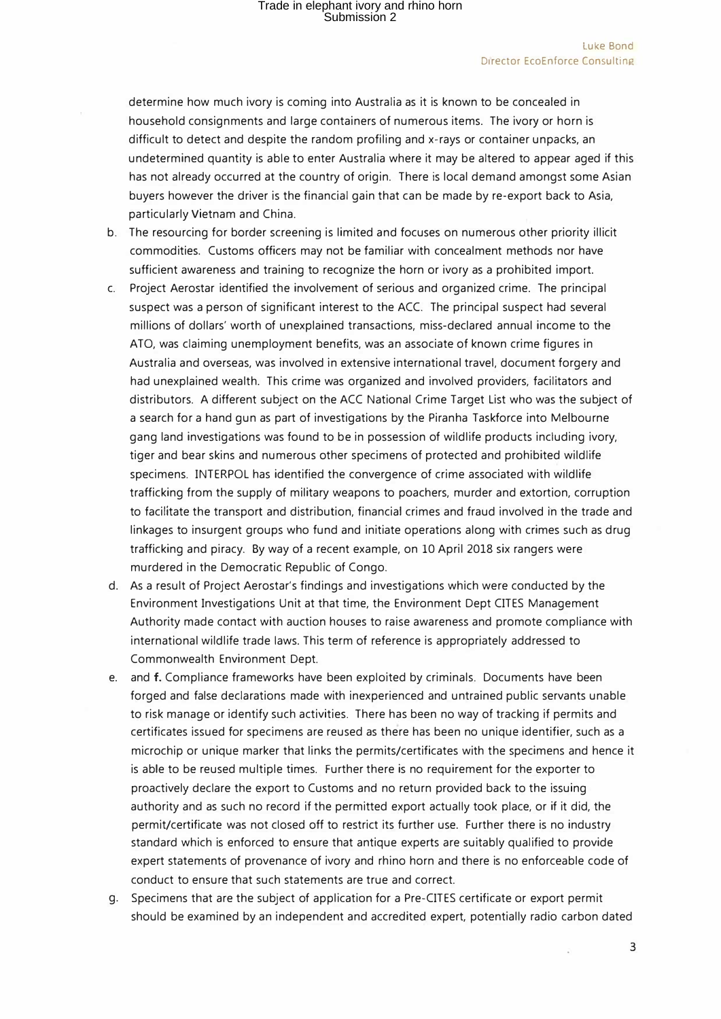determine how much ivory is coming into Australia as it is known to be concealed in household consignments and large containers of numerous items. The ivory or horn is difficult to detect and despite the random profiling and x-rays or container unpacks, an undetermined quantity is able to enter Australia where it may be altered to appear aged if this has not already occurred at the country of origin. There is local demand amongst some Asian buyers however the driver is the financial gain that can be made by re-export back to Asia, particularly Vietnam and China.

- b. The resourcing for border screening is limited and focuses on numerous other priority illicit commodities. Customs officers may not be familiar with concealment methods nor have sufficient awareness and training to recognize the horn or ivory as a prohibited import.
- c. Project Aerostar identified the involvement of serious and organized crime. The principal suspect was a person of significant interest to the ACC. The principal suspect had several millions of dollars· worth of unexplained transactions, miss-declared annual income to the ATO, was claiming unemployment benefits, was an associate of known crime figures in Australia and overseas, was involved in extensive international travel, document forgery and had unexplained wealth. This crime was organized and involved providers, facilitators and distributors. A different subject on the ACC National Crime Target List who was the subject of a search for a hand gun as part of investigations by the Piranha Taskforce into Melbourne gang land investigations was found to be in possession of wildlife products including ivory, tiger and bear skins and numerous other specimens of protected and prohibited wildlife specimens. INTERPOL has identified the convergence of crime associated with wildlife trafficking from the supply of military weapons to poachers, murder and extortion, corruption to facilitate the transport and distribution, financial crimes and fraud involved in the trade and linkages to insurgent groups who fund and initiate operations along with crimes such as drug trafficking and piracy. By way of a recent example, on 10 April 2018 six rangers were murdered in the Democratic Republic of Congo.
- d. As a result of Project Aerostar's findings and investigations which were conducted by the Environment Investigations Unit at that time, the Environment Dept CITES Management Authority made contact with auction houses to raise awareness and promote compliance with international wildlife trade laws. This term of reference is appropriately addressed to Commonwealth Environment Dept.
- e. and f. Compliance frameworks have been exploited by criminals. Documents have been forged and false declarations made with inexperienced and untrained public servants unable to risk manage or identify such activities. There has been no way of tracking if permits and certificates issued for specimens are reused as there has been no unique identifier, such as a microchip or unique marker that links the permits/certificates with the specimens and hence it is able to be reused multiple times. Further there is no requirement for the exporter to proactively declare the export to Customs and no return provided back to the issuing authority and as such no record if the permitted export actually took place, or if it did, the permit/certificate was not closed off to restrict its further use. Further there is no industry standard which is enforced to ensure that antique experts are suitably qualified to provide expert statements of provenance of ivory and rhino horn and there is no enforceable code of conduct to ensure that such statements are true and correct.
- g. Specimens that are the subject of application for a Pre-CITES certificate or export permit should be examined by an independent and accredited expert, potentially radio carbon dated

3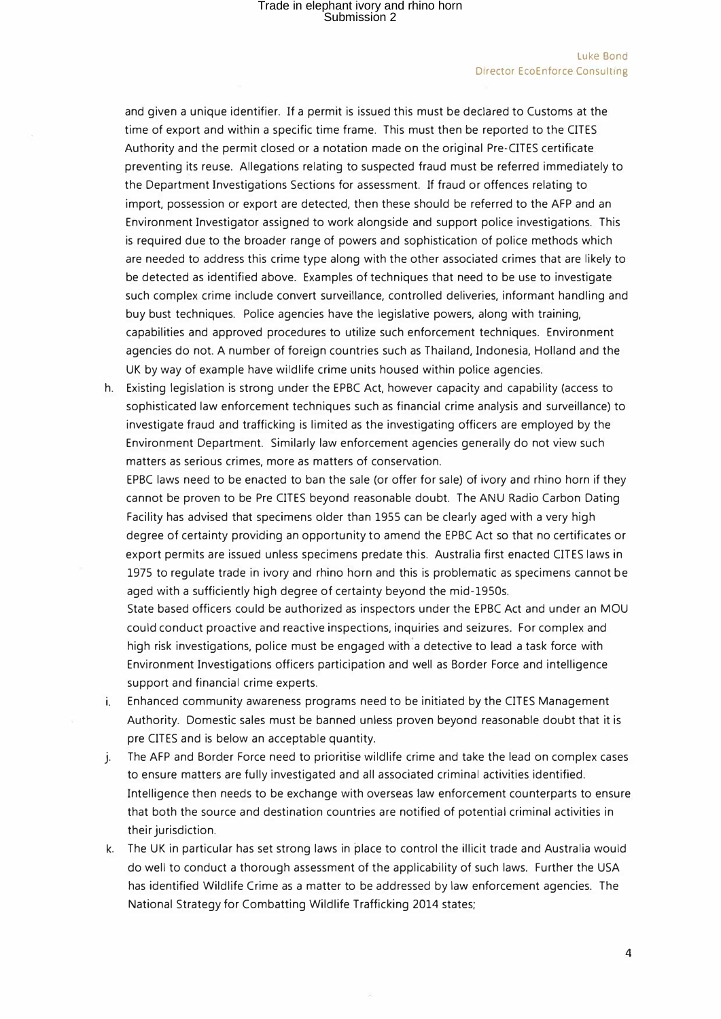and given a unique identifier. If a permit is issued this must be declared to Customs at the time of export and within a specific time frame. This must then be reported to the CITES Authority and the permit closed or a notation made on the original Pre-CITES certificate preventing its reuse. Allegations relating to suspected fraud must be referred immediately to the Department Investigations Sections for assessment. If fraud or offences relating to import, possession or export are detected, then these should be referred to the AFP and an Environment Investigator assigned to work alongside and support police investigations. This is required due to the broader range of powers and sophistication of police methods which are needed to address this crime type along with the other associated crimes that are likely to be detected as identified above. Examples of techniques that need to be use to investigate such complex crime include convert surveillance, controlled deliveries, informant handling and buy bust techniques. Police agencies have the legislative powers, along with training, capabilities and approved procedures to utilize such enforcement techniques. Environment agencies do not. A number of foreign countries such as Thailand, Indonesia, Holland and the UK by way of example have wildlife crime units housed within police agencies.

h. Existing legislation is strong under the EPBC Act, however capacity and capability (access to sophisticated law enforcement techniques such as financial crime analysis and surveillance) to investigate fraud and trafficking is limited as the investigating officers are employed by the Environment Department. Similarly law enforcement agencies generally do not view such matters as serious crimes, more as matters of conservation.

EPBC laws need to be enacted to ban the sale (or offer for sale) of ivory and rhino horn if they cannot be proven to be Pre CITES beyond reasonable doubt. The ANU Radio Carbon Dating Facility has advised that specimens older than 1955 can be clearly aged with a very high degree of certainty providing an opportunity to amend the EPBC Act so that no certificates or export permits are issued unless specimens predate this. Australia first enacted CITES laws in 1975 to regulate trade in ivory and rhino horn and this is problematic as specimens cannot be aged with a sufficiently high degree of certainty beyond the mid-1950s.

State based officers could be authorized as inspectors under the EPBC Act and under an MOU could conduct proactive and reactive inspections, inquiries and seizures. For complex and high risk investigations, police must be engaged with a detective to lead a task force with Environment Investigations officers participation and well as Border Force and intelligence support and financial crime experts.

- i. Enhanced community awareness programs need to be initiated by the CITES Management Authority. Domestic sales must be banned unless proven beyond reasonable doubt that it is pre CITES and is below an acceptable quantity.
- j. The AFP and Border Force need to prioritise wildlife crime and take the lead on complex cases to ensure matters are fully investigated and all associated criminal activities identified. Intelligence then needs to be exchange with overseas law enforcement counterparts to ensure that both the source and destination countries are notified of potential criminal activities in their jurisdiction.
- k. The UK in particular has set strong laws in place to control the illicit trade and Australia would do well to conduct a thorough assessment of the applicability of such laws. Further the USA has identified Wildlife Crime as a matter to be addressed by law enforcement agencies. The National Strategy for Combatting Wildlife Trafficking 2014 states;

4